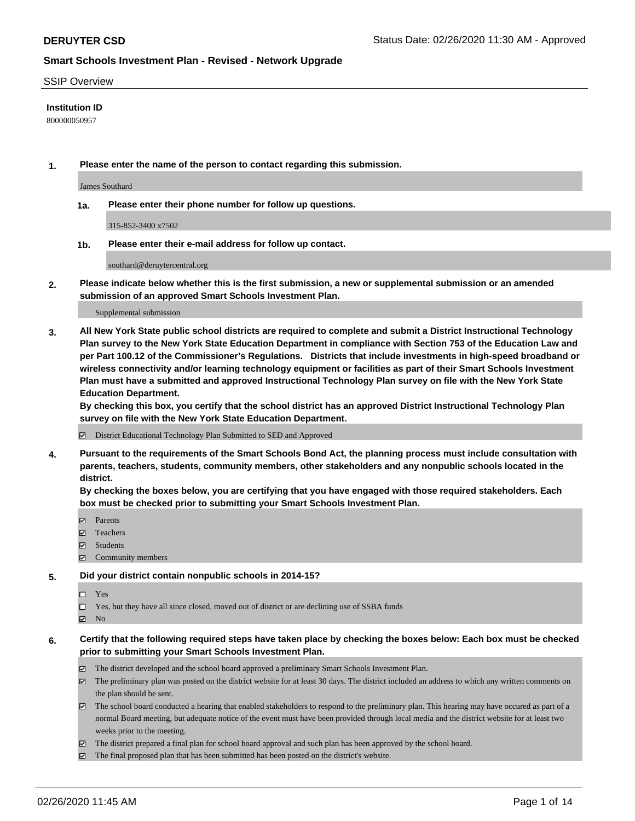#### SSIP Overview

#### **Institution ID**

800000050957

**1. Please enter the name of the person to contact regarding this submission.**

James Southard

**1a. Please enter their phone number for follow up questions.**

315-852-3400 x7502

**1b. Please enter their e-mail address for follow up contact.**

southard@deruytercentral.org

**2. Please indicate below whether this is the first submission, a new or supplemental submission or an amended submission of an approved Smart Schools Investment Plan.**

#### Supplemental submission

**3. All New York State public school districts are required to complete and submit a District Instructional Technology Plan survey to the New York State Education Department in compliance with Section 753 of the Education Law and per Part 100.12 of the Commissioner's Regulations. Districts that include investments in high-speed broadband or wireless connectivity and/or learning technology equipment or facilities as part of their Smart Schools Investment Plan must have a submitted and approved Instructional Technology Plan survey on file with the New York State Education Department.** 

**By checking this box, you certify that the school district has an approved District Instructional Technology Plan survey on file with the New York State Education Department.**

District Educational Technology Plan Submitted to SED and Approved

**4. Pursuant to the requirements of the Smart Schools Bond Act, the planning process must include consultation with parents, teachers, students, community members, other stakeholders and any nonpublic schools located in the district.** 

**By checking the boxes below, you are certifying that you have engaged with those required stakeholders. Each box must be checked prior to submitting your Smart Schools Investment Plan.**

- **マ** Parents
- Teachers
- Students
- Community members

#### **5. Did your district contain nonpublic schools in 2014-15?**

 $\neg$  Yes

Yes, but they have all since closed, moved out of district or are declining use of SSBA funds

**Z** No

#### **6. Certify that the following required steps have taken place by checking the boxes below: Each box must be checked prior to submitting your Smart Schools Investment Plan.**

- The district developed and the school board approved a preliminary Smart Schools Investment Plan.
- $\boxtimes$  The preliminary plan was posted on the district website for at least 30 days. The district included an address to which any written comments on the plan should be sent.
- $\boxtimes$  The school board conducted a hearing that enabled stakeholders to respond to the preliminary plan. This hearing may have occured as part of a normal Board meeting, but adequate notice of the event must have been provided through local media and the district website for at least two weeks prior to the meeting.
- The district prepared a final plan for school board approval and such plan has been approved by the school board.
- The final proposed plan that has been submitted has been posted on the district's website.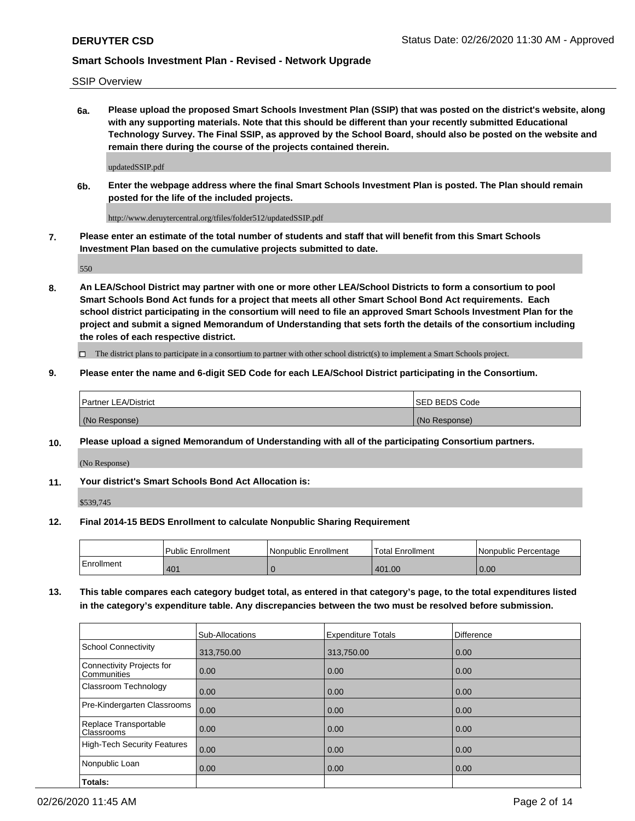SSIP Overview

**6a. Please upload the proposed Smart Schools Investment Plan (SSIP) that was posted on the district's website, along with any supporting materials. Note that this should be different than your recently submitted Educational Technology Survey. The Final SSIP, as approved by the School Board, should also be posted on the website and remain there during the course of the projects contained therein.**

updatedSSIP.pdf

**6b. Enter the webpage address where the final Smart Schools Investment Plan is posted. The Plan should remain posted for the life of the included projects.**

http://www.deruytercentral.org/tfiles/folder512/updatedSSIP.pdf

**7. Please enter an estimate of the total number of students and staff that will benefit from this Smart Schools Investment Plan based on the cumulative projects submitted to date.**

550

**8. An LEA/School District may partner with one or more other LEA/School Districts to form a consortium to pool Smart Schools Bond Act funds for a project that meets all other Smart School Bond Act requirements. Each school district participating in the consortium will need to file an approved Smart Schools Investment Plan for the project and submit a signed Memorandum of Understanding that sets forth the details of the consortium including the roles of each respective district.**

 $\Box$  The district plans to participate in a consortium to partner with other school district(s) to implement a Smart Schools project.

#### **9. Please enter the name and 6-digit SED Code for each LEA/School District participating in the Consortium.**

| Partner LEA/District | <b>ISED BEDS Code</b> |
|----------------------|-----------------------|
| (No Response)        | (No Response)         |

#### **10. Please upload a signed Memorandum of Understanding with all of the participating Consortium partners.**

(No Response)

**11. Your district's Smart Schools Bond Act Allocation is:**

\$539,745

#### **12. Final 2014-15 BEDS Enrollment to calculate Nonpublic Sharing Requirement**

|            | Public Enrollment | Nonpublic Enrollment | Total Enrollment | Nonpublic Percentage |
|------------|-------------------|----------------------|------------------|----------------------|
| Enrollment | 401               |                      | 401.00           | 0.00                 |

**13. This table compares each category budget total, as entered in that category's page, to the total expenditures listed in the category's expenditure table. Any discrepancies between the two must be resolved before submission.**

|                                          | Sub-Allocations | <b>Expenditure Totals</b> | <b>Difference</b> |
|------------------------------------------|-----------------|---------------------------|-------------------|
| <b>School Connectivity</b>               | 313,750.00      | 313,750.00                | 0.00              |
| Connectivity Projects for<br>Communities | 0.00            | 0.00                      | 0.00              |
| Classroom Technology                     | 0.00            | 0.00                      | 0.00              |
| Pre-Kindergarten Classrooms              | 0.00            | 0.00                      | 0.00              |
| Replace Transportable<br>Classrooms      | 0.00            | 0.00                      | 0.00              |
| <b>High-Tech Security Features</b>       | 0.00            | 0.00                      | 0.00              |
| Nonpublic Loan                           | 0.00            | 0.00                      | 0.00              |
| Totals:                                  |                 |                           |                   |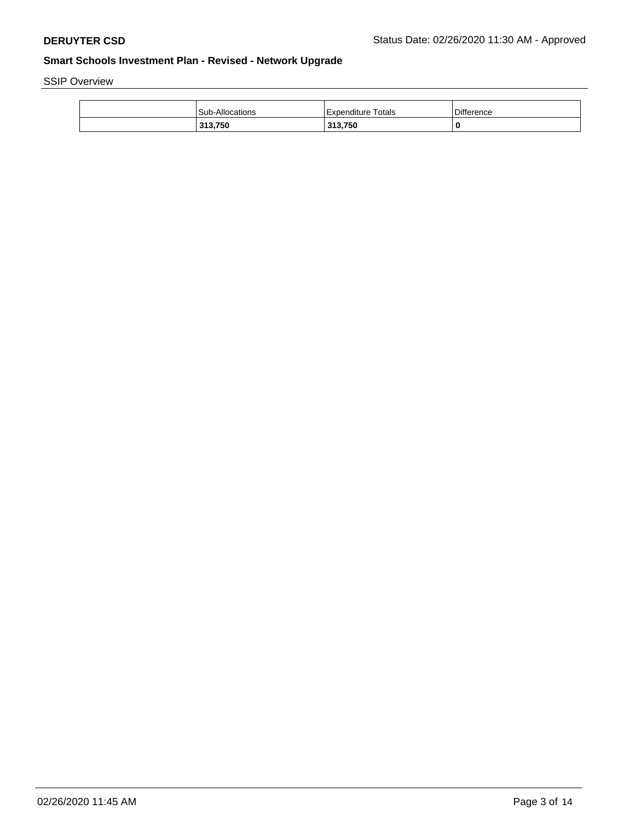SSIP Overview

| <b>Sub-Allocations</b> | Totals<br>i Expenditure | <b>Difference</b> |
|------------------------|-------------------------|-------------------|
| 313,750                | 313,750                 | 0                 |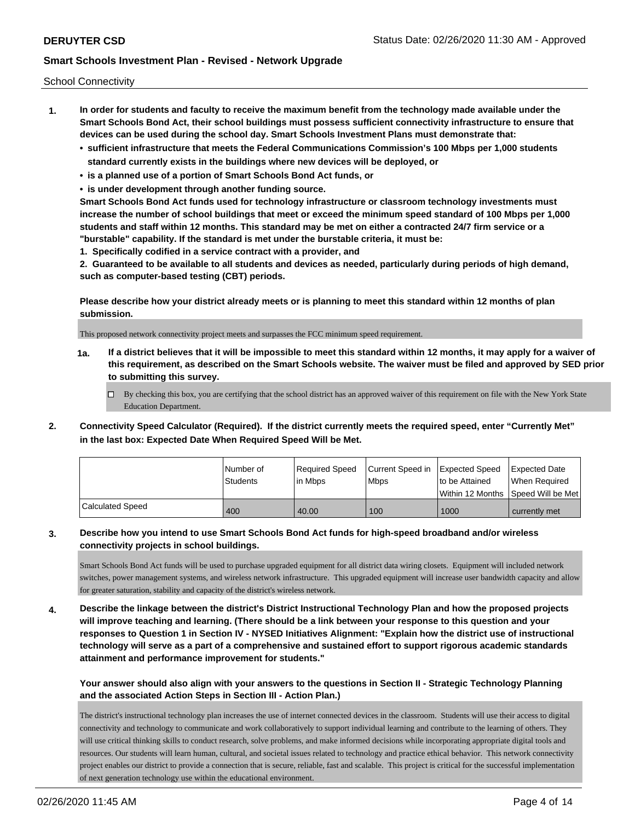School Connectivity

- **1. In order for students and faculty to receive the maximum benefit from the technology made available under the Smart Schools Bond Act, their school buildings must possess sufficient connectivity infrastructure to ensure that devices can be used during the school day. Smart Schools Investment Plans must demonstrate that:**
	- **• sufficient infrastructure that meets the Federal Communications Commission's 100 Mbps per 1,000 students standard currently exists in the buildings where new devices will be deployed, or**
	- **• is a planned use of a portion of Smart Schools Bond Act funds, or**
	- **• is under development through another funding source.**

**Smart Schools Bond Act funds used for technology infrastructure or classroom technology investments must increase the number of school buildings that meet or exceed the minimum speed standard of 100 Mbps per 1,000 students and staff within 12 months. This standard may be met on either a contracted 24/7 firm service or a "burstable" capability. If the standard is met under the burstable criteria, it must be:**

**1. Specifically codified in a service contract with a provider, and**

**2. Guaranteed to be available to all students and devices as needed, particularly during periods of high demand, such as computer-based testing (CBT) periods.**

**Please describe how your district already meets or is planning to meet this standard within 12 months of plan submission.**

This proposed network connectivity project meets and surpasses the FCC minimum speed requirement.

**1a. If a district believes that it will be impossible to meet this standard within 12 months, it may apply for a waiver of this requirement, as described on the Smart Schools website. The waiver must be filed and approved by SED prior to submitting this survey.**

 $\Box$  By checking this box, you are certifying that the school district has an approved waiver of this requirement on file with the New York State Education Department.

**2. Connectivity Speed Calculator (Required). If the district currently meets the required speed, enter "Currently Met" in the last box: Expected Date When Required Speed Will be Met.**

|                         | l Number of     | Reauired Speed | Current Speed in Expected Speed |                | <b>Expected Date</b>                |
|-------------------------|-----------------|----------------|---------------------------------|----------------|-------------------------------------|
|                         | <b>Students</b> | l in Mbps      | l Mbps                          | to be Attained | When Required                       |
|                         |                 |                |                                 |                | Within 12 Months ISpeed Will be Met |
| <b>Calculated Speed</b> | 400             | 40.00          | 100                             | 1000           | currently met                       |

## **3. Describe how you intend to use Smart Schools Bond Act funds for high-speed broadband and/or wireless connectivity projects in school buildings.**

Smart Schools Bond Act funds will be used to purchase upgraded equipment for all district data wiring closets. Equipment will included network switches, power management systems, and wireless network infrastructure. This upgraded equipment will increase user bandwidth capacity and allow for greater saturation, stability and capacity of the district's wireless network.

**4. Describe the linkage between the district's District Instructional Technology Plan and how the proposed projects will improve teaching and learning. (There should be a link between your response to this question and your responses to Question 1 in Section IV - NYSED Initiatives Alignment: "Explain how the district use of instructional technology will serve as a part of a comprehensive and sustained effort to support rigorous academic standards attainment and performance improvement for students."** 

## **Your answer should also align with your answers to the questions in Section II - Strategic Technology Planning and the associated Action Steps in Section III - Action Plan.)**

The district's instructional technology plan increases the use of internet connected devices in the classroom. Students will use their access to digital connectivity and technology to communicate and work collaboratively to support individual learning and contribute to the learning of others. They will use critical thinking skills to conduct research, solve problems, and make informed decisions while incorporating appropriate digital tools and resources. Our students will learn human, cultural, and societal issues related to technology and practice ethical behavior. This network connectivity project enables our district to provide a connection that is secure, reliable, fast and scalable. This project is critical for the successful implementation of next generation technology use within the educational environment.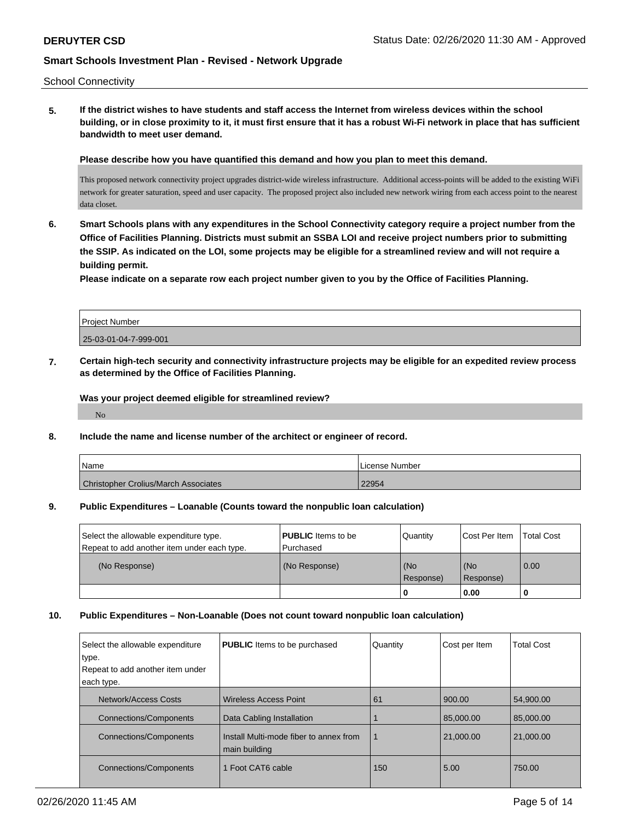School Connectivity

**5. If the district wishes to have students and staff access the Internet from wireless devices within the school building, or in close proximity to it, it must first ensure that it has a robust Wi-Fi network in place that has sufficient bandwidth to meet user demand.**

**Please describe how you have quantified this demand and how you plan to meet this demand.**

This proposed network connectivity project upgrades district-wide wireless infrastructure. Additional access-points will be added to the existing WiFi network for greater saturation, speed and user capacity. The proposed project also included new network wiring from each access point to the nearest data closet.

**6. Smart Schools plans with any expenditures in the School Connectivity category require a project number from the Office of Facilities Planning. Districts must submit an SSBA LOI and receive project numbers prior to submitting the SSIP. As indicated on the LOI, some projects may be eligible for a streamlined review and will not require a building permit.**

**Please indicate on a separate row each project number given to you by the Office of Facilities Planning.**

| <b>Project Number</b> |  |
|-----------------------|--|
| 25-03-01-04-7-999-001 |  |

**7. Certain high-tech security and connectivity infrastructure projects may be eligible for an expedited review process as determined by the Office of Facilities Planning.**

**Was your project deemed eligible for streamlined review?**

No

#### **8. Include the name and license number of the architect or engineer of record.**

| Name                                        | License Number |
|---------------------------------------------|----------------|
| <b>Christopher Crolius/March Associates</b> | 22954          |

#### **9. Public Expenditures – Loanable (Counts toward the nonpublic loan calculation)**

| <b>PUBLIC</b> Items to be | Quantity  |             | <b>Total Cost</b>                  |
|---------------------------|-----------|-------------|------------------------------------|
| (No Response)             | l (No     | (No         | $\overline{0.00}$                  |
|                           |           |             |                                    |
|                           | Purchased | l Response) | Cost Per Item<br>Response)<br>0.00 |

#### **10. Public Expenditures – Non-Loanable (Does not count toward nonpublic loan calculation)**

| Select the allowable expenditure<br>type. | <b>PUBLIC</b> Items to be purchased                     | Quantity    | Cost per Item | <b>Total Cost</b> |
|-------------------------------------------|---------------------------------------------------------|-------------|---------------|-------------------|
| Repeat to add another item under          |                                                         |             |               |                   |
| each type.                                |                                                         |             |               |                   |
| <b>Network/Access Costs</b>               | Wireless Access Point                                   | 61          | 900.00        | 54,900.00         |
| <b>Connections/Components</b>             | Data Cabling Installation                               |             | 85,000,00     | 85,000,00         |
| <b>Connections/Components</b>             | Install Multi-mode fiber to annex from<br>main building | $\mathbf 1$ | 21,000.00     | 21,000.00         |
| <b>Connections/Components</b>             | 1 Foot CAT6 cable                                       | 150         | 5.00          | 750.00            |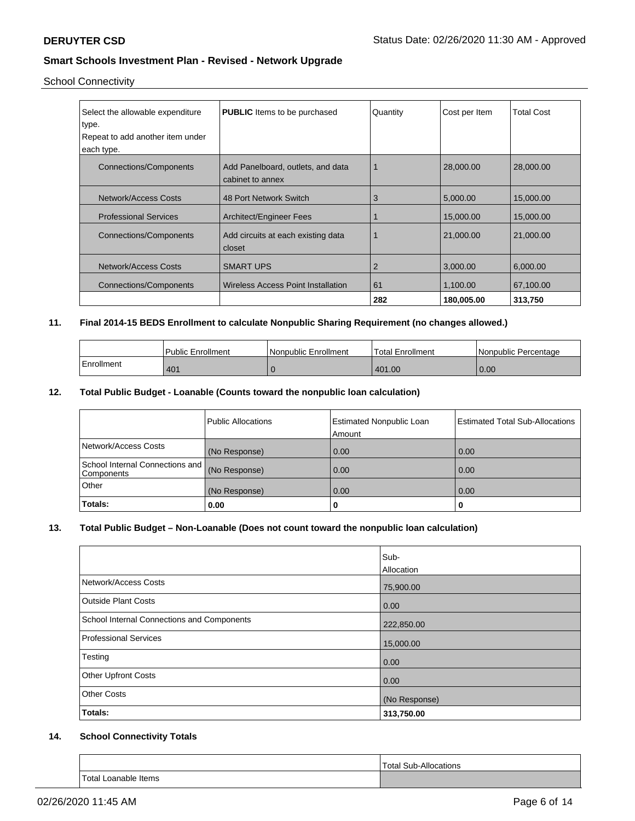# School Connectivity

| Select the allowable expenditure<br>type.<br>Repeat to add another item under<br>each type. | <b>PUBLIC</b> Items to be purchased                   | Quantity | Cost per Item | <b>Total Cost</b> |
|---------------------------------------------------------------------------------------------|-------------------------------------------------------|----------|---------------|-------------------|
| Connections/Components                                                                      | Add Panelboard, outlets, and data<br>cabinet to annex |          | 28,000.00     | 28,000,00         |
| <b>Network/Access Costs</b>                                                                 | 48 Port Network Switch                                | 3        | 5,000.00      | 15,000.00         |
| <b>Professional Services</b>                                                                | <b>Architect/Engineer Fees</b>                        |          | 15,000.00     | 15,000.00         |
| <b>Connections/Components</b>                                                               | Add circuits at each existing data<br>closet          |          | 21,000.00     | 21,000.00         |
| Network/Access Costs                                                                        | <b>SMART UPS</b>                                      | 2        | 3,000.00      | 6,000.00          |
| Connections/Components                                                                      | Wireless Access Point Installation                    | 61       | 1,100.00      | 67,100.00         |
|                                                                                             |                                                       | 282      | 180,005.00    | 313,750           |

## **11. Final 2014-15 BEDS Enrollment to calculate Nonpublic Sharing Requirement (no changes allowed.)**

|            | Public Enrollment | Nonpublic Enrollment | 'Total Enrollment | Nonpublic Percentage |
|------------|-------------------|----------------------|-------------------|----------------------|
| Enrollment | 401               |                      | 401.00            | 0.00                 |

## **12. Total Public Budget - Loanable (Counts toward the nonpublic loan calculation)**

|                                                             | Public Allocations | <b>Estimated Nonpublic Loan</b><br>Amount | <b>Estimated Total Sub-Allocations</b> |
|-------------------------------------------------------------|--------------------|-------------------------------------------|----------------------------------------|
| Network/Access Costs                                        | (No Response)      | 0.00                                      | 0.00                                   |
| School Internal Connections and (No Response)<br>Components |                    | 0.00                                      | 0.00                                   |
| Other                                                       | (No Response)      | 0.00                                      | 0.00                                   |
| Totals:                                                     | 0.00               | 0                                         |                                        |

### **13. Total Public Budget – Non-Loanable (Does not count toward the nonpublic loan calculation)**

|                                            | Sub-<br>Allocation |
|--------------------------------------------|--------------------|
| Network/Access Costs                       | 75,900.00          |
| <b>Outside Plant Costs</b>                 | 0.00               |
| School Internal Connections and Components | 222,850.00         |
| Professional Services                      | 15,000.00          |
| Testing                                    | 0.00               |
| <b>Other Upfront Costs</b>                 | 0.00               |
| <b>Other Costs</b>                         | (No Response)      |
| Totals:                                    | 313,750.00         |

## **14. School Connectivity Totals**

|                                  | Total.<br>Allocations<br>Sub<br>$\mathbf{r}$ |
|----------------------------------|----------------------------------------------|
| <b>Total Loanable Items</b><br>. |                                              |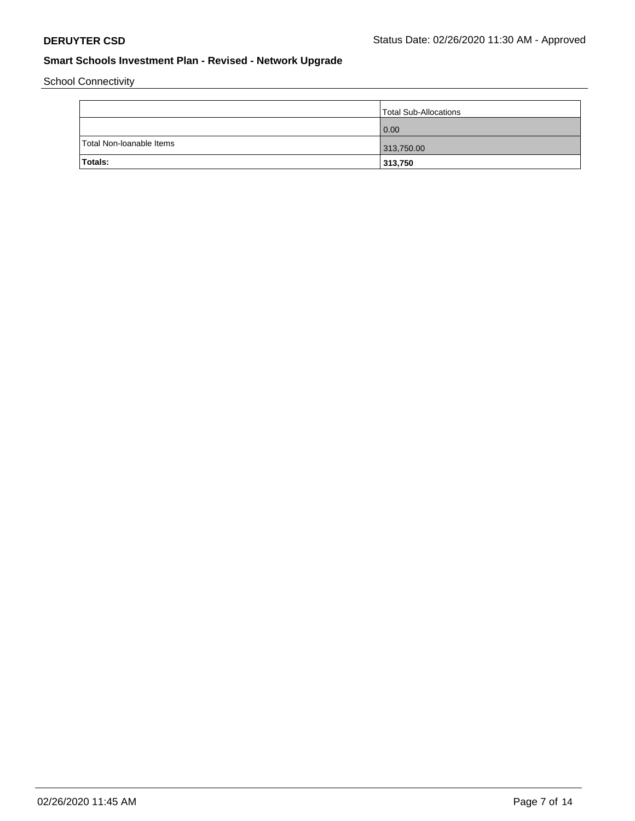School Connectivity

|                          | Total Sub-Allocations |
|--------------------------|-----------------------|
|                          | 0.00                  |
| Total Non-Ioanable Items | 313,750.00            |
| Totals:                  | 313,750               |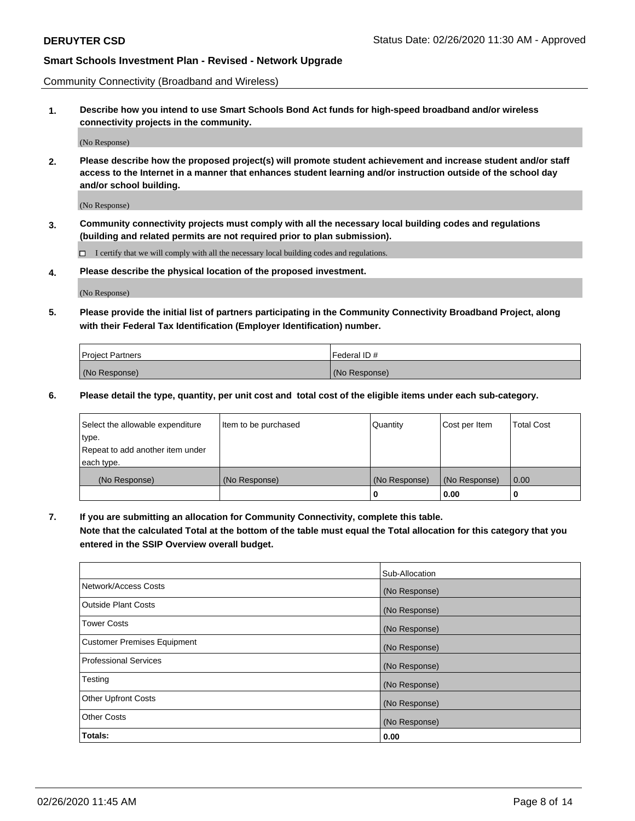Community Connectivity (Broadband and Wireless)

**1. Describe how you intend to use Smart Schools Bond Act funds for high-speed broadband and/or wireless connectivity projects in the community.**

(No Response)

**2. Please describe how the proposed project(s) will promote student achievement and increase student and/or staff access to the Internet in a manner that enhances student learning and/or instruction outside of the school day and/or school building.**

(No Response)

**3. Community connectivity projects must comply with all the necessary local building codes and regulations (building and related permits are not required prior to plan submission).**

 $\Box$  I certify that we will comply with all the necessary local building codes and regulations.

**4. Please describe the physical location of the proposed investment.**

(No Response)

**5. Please provide the initial list of partners participating in the Community Connectivity Broadband Project, along with their Federal Tax Identification (Employer Identification) number.**

| <b>Project Partners</b> | l Federal ID # |
|-------------------------|----------------|
| (No Response)           | (No Response)  |

**6. Please detail the type, quantity, per unit cost and total cost of the eligible items under each sub-category.**

| Select the allowable expenditure | Item to be purchased | Quantity      | Cost per Item | <b>Total Cost</b> |
|----------------------------------|----------------------|---------------|---------------|-------------------|
| type.                            |                      |               |               |                   |
| Repeat to add another item under |                      |               |               |                   |
| each type.                       |                      |               |               |                   |
| (No Response)                    | (No Response)        | (No Response) | (No Response) | 0.00              |
|                                  |                      | U             | 0.00          |                   |

**7. If you are submitting an allocation for Community Connectivity, complete this table.**

**Note that the calculated Total at the bottom of the table must equal the Total allocation for this category that you entered in the SSIP Overview overall budget.**

|                                    | Sub-Allocation |
|------------------------------------|----------------|
| Network/Access Costs               | (No Response)  |
| Outside Plant Costs                | (No Response)  |
| <b>Tower Costs</b>                 | (No Response)  |
| <b>Customer Premises Equipment</b> | (No Response)  |
| <b>Professional Services</b>       | (No Response)  |
| Testing                            | (No Response)  |
| <b>Other Upfront Costs</b>         | (No Response)  |
| <b>Other Costs</b>                 | (No Response)  |
| Totals:                            | 0.00           |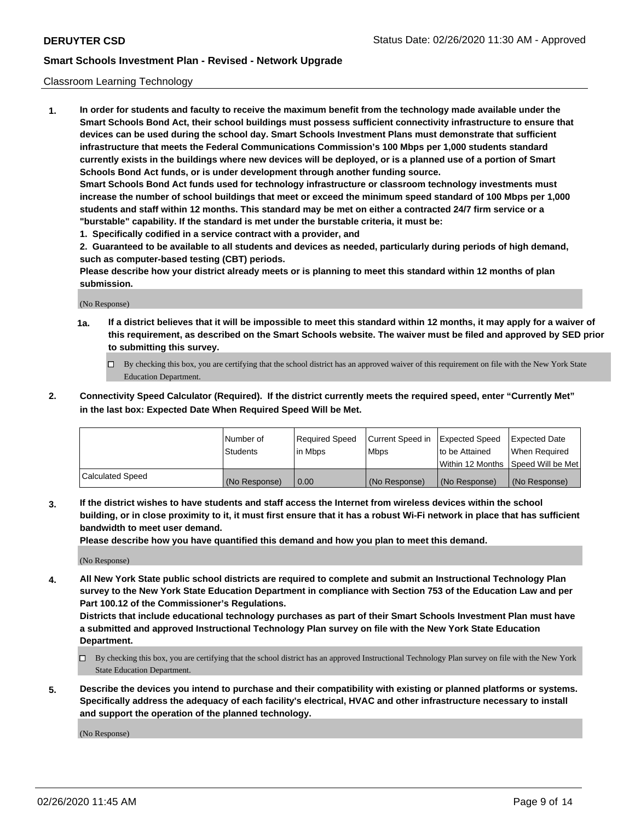#### Classroom Learning Technology

**1. In order for students and faculty to receive the maximum benefit from the technology made available under the Smart Schools Bond Act, their school buildings must possess sufficient connectivity infrastructure to ensure that devices can be used during the school day. Smart Schools Investment Plans must demonstrate that sufficient infrastructure that meets the Federal Communications Commission's 100 Mbps per 1,000 students standard currently exists in the buildings where new devices will be deployed, or is a planned use of a portion of Smart Schools Bond Act funds, or is under development through another funding source. Smart Schools Bond Act funds used for technology infrastructure or classroom technology investments must increase the number of school buildings that meet or exceed the minimum speed standard of 100 Mbps per 1,000 students and staff within 12 months. This standard may be met on either a contracted 24/7 firm service or a "burstable" capability. If the standard is met under the burstable criteria, it must be:**

**1. Specifically codified in a service contract with a provider, and**

**2. Guaranteed to be available to all students and devices as needed, particularly during periods of high demand, such as computer-based testing (CBT) periods.**

**Please describe how your district already meets or is planning to meet this standard within 12 months of plan submission.**

(No Response)

- **1a. If a district believes that it will be impossible to meet this standard within 12 months, it may apply for a waiver of this requirement, as described on the Smart Schools website. The waiver must be filed and approved by SED prior to submitting this survey.**
	- By checking this box, you are certifying that the school district has an approved waiver of this requirement on file with the New York State Education Department.
- **2. Connectivity Speed Calculator (Required). If the district currently meets the required speed, enter "Currently Met" in the last box: Expected Date When Required Speed Will be Met.**

|                  | l Number of     | Required Speed | Current Speed in | <b>Expected Speed</b> | <b>Expected Date</b>                |
|------------------|-----------------|----------------|------------------|-----------------------|-------------------------------------|
|                  | <b>Students</b> | l in Mbps      | l Mbps           | to be Attained        | When Required                       |
|                  |                 |                |                  |                       | Within 12 Months  Speed Will be Met |
| Calculated Speed | (No Response)   | 0.00           | (No Response)    | l (No Response)       | (No Response)                       |

**3. If the district wishes to have students and staff access the Internet from wireless devices within the school building, or in close proximity to it, it must first ensure that it has a robust Wi-Fi network in place that has sufficient bandwidth to meet user demand.**

**Please describe how you have quantified this demand and how you plan to meet this demand.**

(No Response)

**4. All New York State public school districts are required to complete and submit an Instructional Technology Plan survey to the New York State Education Department in compliance with Section 753 of the Education Law and per Part 100.12 of the Commissioner's Regulations.**

**Districts that include educational technology purchases as part of their Smart Schools Investment Plan must have a submitted and approved Instructional Technology Plan survey on file with the New York State Education Department.**

- By checking this box, you are certifying that the school district has an approved Instructional Technology Plan survey on file with the New York State Education Department.
- **5. Describe the devices you intend to purchase and their compatibility with existing or planned platforms or systems. Specifically address the adequacy of each facility's electrical, HVAC and other infrastructure necessary to install and support the operation of the planned technology.**

(No Response)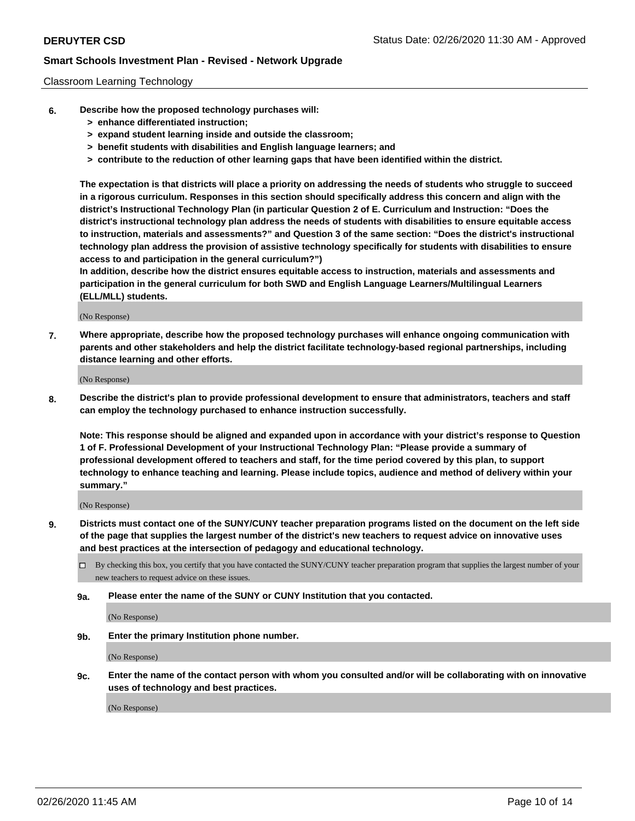#### Classroom Learning Technology

- **6. Describe how the proposed technology purchases will:**
	- **> enhance differentiated instruction;**
	- **> expand student learning inside and outside the classroom;**
	- **> benefit students with disabilities and English language learners; and**
	- **> contribute to the reduction of other learning gaps that have been identified within the district.**

**The expectation is that districts will place a priority on addressing the needs of students who struggle to succeed in a rigorous curriculum. Responses in this section should specifically address this concern and align with the district's Instructional Technology Plan (in particular Question 2 of E. Curriculum and Instruction: "Does the district's instructional technology plan address the needs of students with disabilities to ensure equitable access to instruction, materials and assessments?" and Question 3 of the same section: "Does the district's instructional technology plan address the provision of assistive technology specifically for students with disabilities to ensure access to and participation in the general curriculum?")**

**In addition, describe how the district ensures equitable access to instruction, materials and assessments and participation in the general curriculum for both SWD and English Language Learners/Multilingual Learners (ELL/MLL) students.**

(No Response)

**7. Where appropriate, describe how the proposed technology purchases will enhance ongoing communication with parents and other stakeholders and help the district facilitate technology-based regional partnerships, including distance learning and other efforts.**

(No Response)

**8. Describe the district's plan to provide professional development to ensure that administrators, teachers and staff can employ the technology purchased to enhance instruction successfully.**

**Note: This response should be aligned and expanded upon in accordance with your district's response to Question 1 of F. Professional Development of your Instructional Technology Plan: "Please provide a summary of professional development offered to teachers and staff, for the time period covered by this plan, to support technology to enhance teaching and learning. Please include topics, audience and method of delivery within your summary."**

(No Response)

- **9. Districts must contact one of the SUNY/CUNY teacher preparation programs listed on the document on the left side of the page that supplies the largest number of the district's new teachers to request advice on innovative uses and best practices at the intersection of pedagogy and educational technology.**
	- By checking this box, you certify that you have contacted the SUNY/CUNY teacher preparation program that supplies the largest number of your new teachers to request advice on these issues.
	- **9a. Please enter the name of the SUNY or CUNY Institution that you contacted.**

(No Response)

**9b. Enter the primary Institution phone number.**

(No Response)

**9c. Enter the name of the contact person with whom you consulted and/or will be collaborating with on innovative uses of technology and best practices.**

(No Response)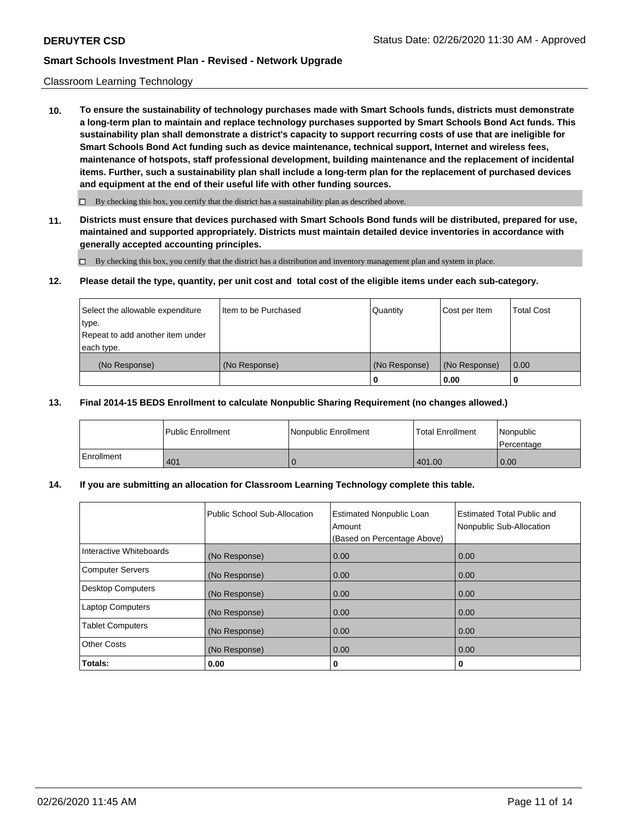#### Classroom Learning Technology

**10. To ensure the sustainability of technology purchases made with Smart Schools funds, districts must demonstrate a long-term plan to maintain and replace technology purchases supported by Smart Schools Bond Act funds. This sustainability plan shall demonstrate a district's capacity to support recurring costs of use that are ineligible for Smart Schools Bond Act funding such as device maintenance, technical support, Internet and wireless fees, maintenance of hotspots, staff professional development, building maintenance and the replacement of incidental items. Further, such a sustainability plan shall include a long-term plan for the replacement of purchased devices and equipment at the end of their useful life with other funding sources.**

 $\Box$  By checking this box, you certify that the district has a sustainability plan as described above.

**11. Districts must ensure that devices purchased with Smart Schools Bond funds will be distributed, prepared for use, maintained and supported appropriately. Districts must maintain detailed device inventories in accordance with generally accepted accounting principles.**

By checking this box, you certify that the district has a distribution and inventory management plan and system in place.

#### **12. Please detail the type, quantity, per unit cost and total cost of the eligible items under each sub-category.**

| Select the allowable expenditure<br>type.      | Item to be Purchased | Quantity      | Cost per Item | <b>Total Cost</b> |
|------------------------------------------------|----------------------|---------------|---------------|-------------------|
| Repeat to add another item under<br>each type. |                      |               |               |                   |
| (No Response)                                  | (No Response)        | (No Response) | (No Response) | 0.00              |
|                                                |                      |               | 0.00          |                   |

#### **13. Final 2014-15 BEDS Enrollment to calculate Nonpublic Sharing Requirement (no changes allowed.)**

|              | l Public Enrollment | Nonpublic Enrollment | <b>Total Enrollment</b> | Nonpublic<br>l Percentage |
|--------------|---------------------|----------------------|-------------------------|---------------------------|
| l Enrollment | 401                 |                      | 401.00                  | 0.00                      |

### **14. If you are submitting an allocation for Classroom Learning Technology complete this table.**

|                         | Public School Sub-Allocation | <b>Estimated Nonpublic Loan</b><br>Amount<br>(Based on Percentage Above) | Estimated Total Public and<br>Nonpublic Sub-Allocation |
|-------------------------|------------------------------|--------------------------------------------------------------------------|--------------------------------------------------------|
| Interactive Whiteboards | (No Response)                | 0.00                                                                     | 0.00                                                   |
| Computer Servers        | (No Response)                | 0.00                                                                     | 0.00                                                   |
| Desktop Computers       | (No Response)                | 0.00                                                                     | 0.00                                                   |
| <b>Laptop Computers</b> | (No Response)                | 0.00                                                                     | 0.00                                                   |
| <b>Tablet Computers</b> | (No Response)                | 0.00                                                                     | 0.00                                                   |
| Other Costs             | (No Response)                | 0.00                                                                     | 0.00                                                   |
| Totals:                 | 0.00                         | 0                                                                        | 0                                                      |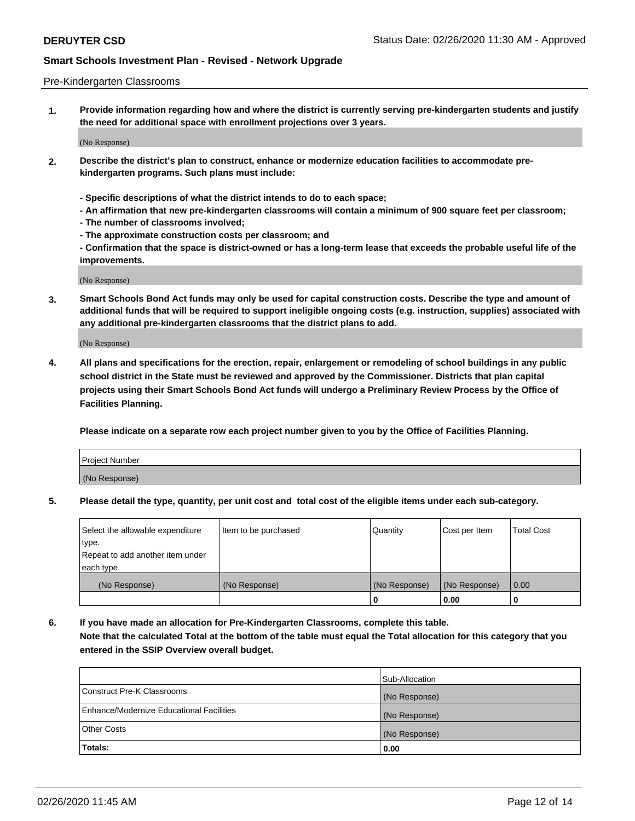#### Pre-Kindergarten Classrooms

**1. Provide information regarding how and where the district is currently serving pre-kindergarten students and justify the need for additional space with enrollment projections over 3 years.**

(No Response)

- **2. Describe the district's plan to construct, enhance or modernize education facilities to accommodate prekindergarten programs. Such plans must include:**
	- **Specific descriptions of what the district intends to do to each space;**
	- **An affirmation that new pre-kindergarten classrooms will contain a minimum of 900 square feet per classroom;**
	- **The number of classrooms involved;**
	- **The approximate construction costs per classroom; and**
	- **Confirmation that the space is district-owned or has a long-term lease that exceeds the probable useful life of the improvements.**

(No Response)

**3. Smart Schools Bond Act funds may only be used for capital construction costs. Describe the type and amount of additional funds that will be required to support ineligible ongoing costs (e.g. instruction, supplies) associated with any additional pre-kindergarten classrooms that the district plans to add.**

(No Response)

**4. All plans and specifications for the erection, repair, enlargement or remodeling of school buildings in any public school district in the State must be reviewed and approved by the Commissioner. Districts that plan capital projects using their Smart Schools Bond Act funds will undergo a Preliminary Review Process by the Office of Facilities Planning.**

**Please indicate on a separate row each project number given to you by the Office of Facilities Planning.**

| Project Number |  |
|----------------|--|
| (No Response)  |  |
|                |  |

**5. Please detail the type, quantity, per unit cost and total cost of the eligible items under each sub-category.**

| Select the allowable expenditure | Item to be purchased | Quantity      | Cost per Item | <b>Total Cost</b> |
|----------------------------------|----------------------|---------------|---------------|-------------------|
| type.                            |                      |               |               |                   |
| Repeat to add another item under |                      |               |               |                   |
| each type.                       |                      |               |               |                   |
| (No Response)                    | (No Response)        | (No Response) | (No Response) | 0.00              |
|                                  |                      | U             | 0.00          |                   |

**6. If you have made an allocation for Pre-Kindergarten Classrooms, complete this table. Note that the calculated Total at the bottom of the table must equal the Total allocation for this category that you entered in the SSIP Overview overall budget.**

|                                          | Sub-Allocation |
|------------------------------------------|----------------|
| Construct Pre-K Classrooms               | (No Response)  |
| Enhance/Modernize Educational Facilities | (No Response)  |
| <b>Other Costs</b>                       | (No Response)  |
| Totals:                                  | 0.00           |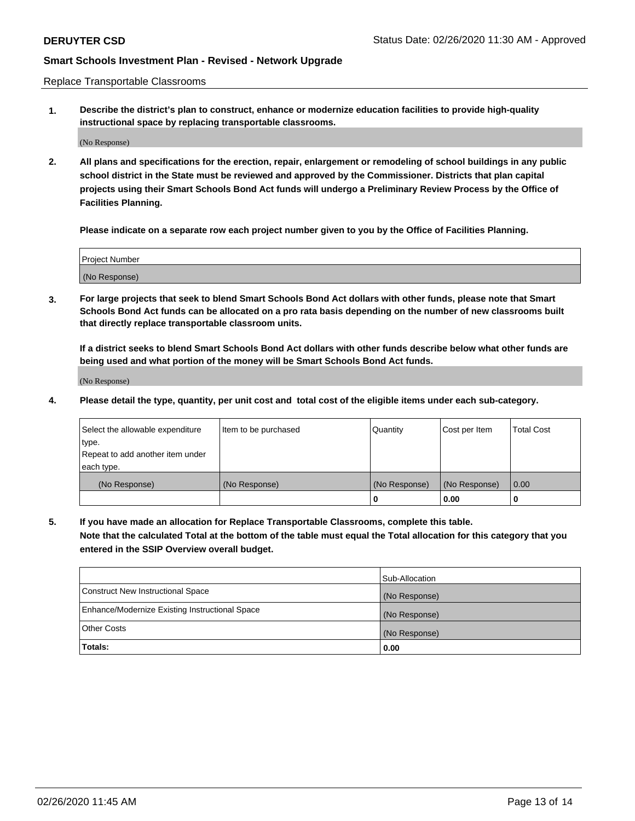Replace Transportable Classrooms

**1. Describe the district's plan to construct, enhance or modernize education facilities to provide high-quality instructional space by replacing transportable classrooms.**

(No Response)

**2. All plans and specifications for the erection, repair, enlargement or remodeling of school buildings in any public school district in the State must be reviewed and approved by the Commissioner. Districts that plan capital projects using their Smart Schools Bond Act funds will undergo a Preliminary Review Process by the Office of Facilities Planning.**

**Please indicate on a separate row each project number given to you by the Office of Facilities Planning.**

| Project Number |  |
|----------------|--|
|                |  |
|                |  |
|                |  |
| (No Response)  |  |
|                |  |
|                |  |

**3. For large projects that seek to blend Smart Schools Bond Act dollars with other funds, please note that Smart Schools Bond Act funds can be allocated on a pro rata basis depending on the number of new classrooms built that directly replace transportable classroom units.**

**If a district seeks to blend Smart Schools Bond Act dollars with other funds describe below what other funds are being used and what portion of the money will be Smart Schools Bond Act funds.**

(No Response)

**4. Please detail the type, quantity, per unit cost and total cost of the eligible items under each sub-category.**

| Select the allowable expenditure<br>∣type.     | Item to be purchased | Quantity      | Cost per Item | Total Cost |
|------------------------------------------------|----------------------|---------------|---------------|------------|
| Repeat to add another item under<br>each type. |                      |               |               |            |
| (No Response)                                  | (No Response)        | (No Response) | (No Response) | 0.00       |
|                                                |                      | u             | 0.00          |            |

**5. If you have made an allocation for Replace Transportable Classrooms, complete this table. Note that the calculated Total at the bottom of the table must equal the Total allocation for this category that you entered in the SSIP Overview overall budget.**

|                                                | Sub-Allocation |
|------------------------------------------------|----------------|
| Construct New Instructional Space              | (No Response)  |
| Enhance/Modernize Existing Instructional Space | (No Response)  |
| Other Costs                                    | (No Response)  |
| Totals:                                        | 0.00           |